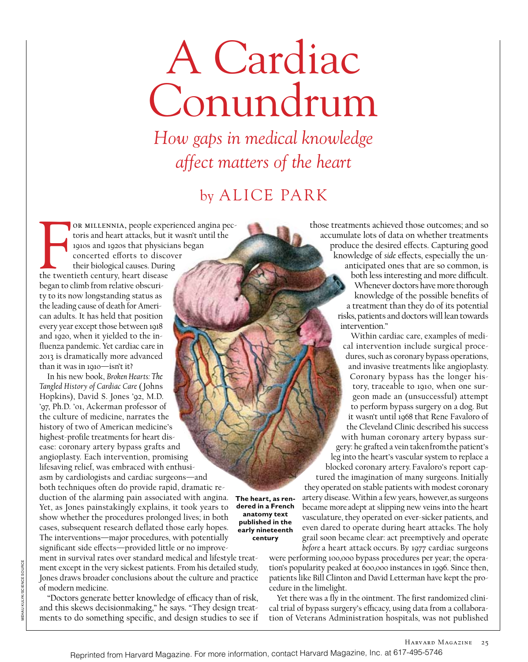## A Cardiac Conundrum

*How gaps in medical knowledge affect matters of the heart*

## by alice park

OR MILLENNIA, people experiences and heart attacks, but is 1910s and 1920s that physicic concerted efforts to discometries their biological causes. During the twentieth century, heart disease or millennia, people experienced angina pectoris and heart attacks, but it wasn't until the 1910s and 1920s that physicians began concerted efforts to discover their biological causes. During began to climb from relative obscurity to its now longstanding status as the leading cause of death for American adults. It has held that position every year except those between 1918 and 1920, when it yielded to the influenza pandemic. Yet cardiac care in 2013 is dramatically more advanced than it was in 1910—isn't it?

In his new book, *Broken Hearts: The Tangled History of Cardiac Care* ( Johns Hopkins), David S. Jones '92, M.D. '97, Ph.D. '01, Ackerman professor of the culture of medicine, narrates the history of two of American medicine's highest-profile treatments for heart disease: coronary artery bypass grafts and angioplasty. Each intervention, promising lifesaving relief, was embraced with enthusiasm by cardiologists and cardiac surgeons—and both techniques often do provide rapid, dramatic reduction of the alarming pain associated with angina. **The heart, as ren-**Yet, as Jones painstakingly explains, it took years to show whether the procedures prolonged lives; in both cases, subsequent research deflated those early hopes. The interventions—major procedures, with potentially significant side effects—provided little or no improve-

ment in survival rates over standard medical and lifestyle treatment except in the very sickest patients. From his detailed study, Jones draws broader conclusions about the culture and practice of modern medicine.

"Doctors generate better knowledge of efficacy than of risk, and this skews decisionmaking," he says. "They design treatments to do something specific, and design studies to see if those treatments achieved those outcomes; and so accumulate lots of data on whether treatments produce the desired effects. Capturing good knowledge of *side* effects, especially the unanticipated ones that are so common, is both less interesting and more difficult. Whenever doctors have more thorough knowledge of the possible benefits of a treatment than they do of its potential risks, patients and doctors will lean towards intervention."

Within cardiac care, examples of medical intervention include surgical procedures, such as coronary bypass operations, and invasive treatments like angioplasty. Coronary bypass has the longer history, traceable to 1910, when one surgeon made an (unsuccessful) attempt to perform bypass surgery on a dog. But it wasn't until 1968 that Rene Favaloro of the Cleveland Clinic described his success with human coronary artery bypass surgery: he grafted a vein taken from the patient's leg into the heart's vascular system to replace a blocked coronary artery. Favaloro's report captured the imagination of many surgeons. Initially they operated on stable patients with modest coronary artery disease. Within a few years, however, as surgeons became more adept at slipping new veins into the heart vasculature, they operated on ever-sicker patients, and even dared to operate during heart attacks. The holy grail soon became clear: act preemptively and operate *before* a heart attack occurs. By 1977 cardiac surgeons

were performing 100,000 bypass procedures per year; the operation's popularity peaked at 600,000 instances in 1996. Since then, patients like Bill Clinton and David Letterman have kept the procedure in the limelight.

Yet there was a fly in the ointment. The first randomized clinical trial of bypass surgery's efficacy, using data from a collaboration of Veterans Administration hospitals, was not published

**dered in a French anatomy text published in the early nineteenth century**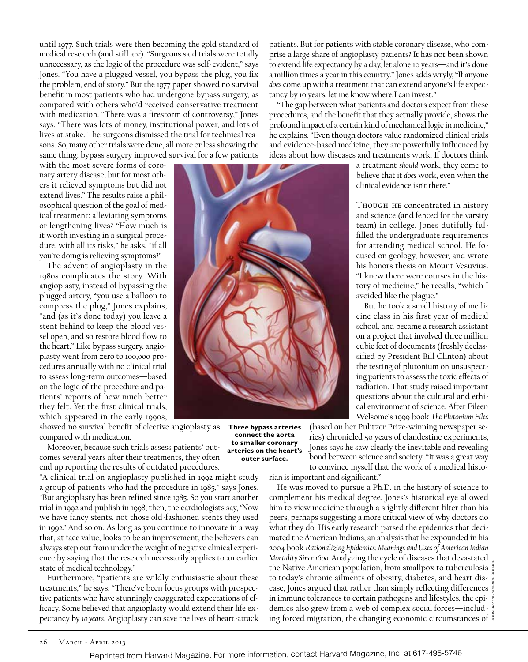until 1977. Such trials were then becoming the gold standard of medical research (and still are). "Surgeons said trials were totally unnecessary, as the logic of the procedure was self-evident," says Jones. "You have a plugged vessel, you bypass the plug, you fix the problem, end of story." But the 1977 paper showed no survival benefit in most patients who had undergone bypass surgery, as compared with others who'd received conservative treatment with medication. "There was a firestorm of controversy," Jones says. "There was lots of money, institutional power, and lots of lives at stake. The surgeons dismissed the trial for technical reasons. So, many other trials were done, all more or less showing the same thing: bypass surgery improved survival for a few patients

with the most severe forms of coronary artery disease, but for most others it relieved symptoms but did not extend lives." The results raise a philosophical question of the goal of medical treatment: alleviating symptoms or lengthening lives? "How much is it worth investing in a surgical procedure, with all its risks," he asks, "if all you're doing is relieving symptoms?"

The advent of angioplasty in the 1980s complicates the story. With angioplasty, instead of bypassing the plugged artery, "you use a balloon to compress the plug," Jones explains, "and (as it's done today) you leave a stent behind to keep the blood vessel open, and so restore blood flow to the heart." Like bypass surgery, angioplasty went from zero to 100,000 procedures annually with no clinical trial to assess long-term outcomes—based on the logic of the procedure and patients' reports of how much better they felt. Yet the first clinical trials, which appeared in the early 1990s,

showed no survival benefit of elective angioplasty as compared with medication.

Moreover, because such trials assess patients' outcomes several years after their treatments, they often end up reporting the results of outdated procedures.

"A clinical trial on angioplasty published in 1992 might study a group of patients who had the procedure in 1985," says Jones. "But angioplasty has been refined since 1985. So you start another trial in 1992 and publish in 1998; then, the cardiologists say, 'Now we have fancy stents, not those old-fashioned stents they used in 1992.' And so on. As long as you continue to innovate in a way that, at face value, looks to be an improvement, the believers can always step out from under the weight of negative clinical experience by saying that the research necessarily applies to an earlier state of medical technology."

Furthermore, "patients are wildly enthusiastic about these treatments," he says. "There've been focus groups with prospective patients who have stunningly exaggerated expectations of efficacy. Some believed that angioplasty would extend their life expectancy by *10 years!* Angioplasty can save the lives of heart-attack



**Three bypass arteries connect the aorta to smaller coronary arteries on the heart's outer surface.**

patients. But for patients with stable coronary disease, who comprise a large share of angioplasty patients? It has not been shown to extend life expectancy by a day, let alone 10 years—and it's done a million times a year in this country." Jones adds wryly, "If anyone *does* come up with a treatment that can extend anyone's life expectancy by 10 years, let me know where I can invest."

"The gap between what patients and doctors expect from these procedures, and the benefit that they actually provide, shows the profound impact of a certain kind of mechanical logic in medicine," he explains. "Even though doctors value randomized clinical trials and evidence-based medicine, they are powerfully influenced by ideas about how diseases and treatments work. If doctors think

a treatment *should* work, they come to believe that it *does* work, even when the clinical evidence isn't there."

Though he concentrated in history and science (and fenced for the varsity team) in college, Jones dutifully fulfilled the undergraduate requirements for attending medical school. He focused on geology, however, and wrote his honors thesis on Mount Vesuvius. "I knew there were courses in the history of medicine," he recalls, "which I avoided like the plague."

But he took a small history of medicine class in his first year of medical school, and became a research assistant on a project that involved three million cubic feet of documents (freshly declassified by President Bill Clinton) about the testing of plutonium on unsuspecting patients to assess the toxic effects of radiation. That study raised important questions about the cultural and ethical environment of science. After Eileen Welsome's 1999 book *The Plutonium Files* 

(based on her Pulitzer Prize-winning newspaper series) chronicled 50 years of clandestine experiments, Jones says he saw clearly the inevitable and revealing bond between science and society: "It was a great way to convince myself that the work of a medical histo-

rian is important and significant."

He was moved to pursue a Ph.D. in the history of science to complement his medical degree. Jones's historical eye allowed him to view medicine through a slightly different filter than his peers, perhaps suggesting a more critical view of why doctors do what they do. His early research parsed the epidemics that decimated the American Indians, an analysis that he expounded in his 2004 book *Rationalizing Epidemics: Meanings and Uses of American Indian Mortality Since 1600.* Analyzing the cycle of diseases that devastated the Native American population, from smallpox to tuberculosis  $\frac{8}{5}$ to today's chronic ailments of obesity, diabetes, and heart disease, Jones argued that rather than simply reflecting differences  $\frac{m}{8}$ in immune tolerances to certain pathogens and lifestyles, the epidemics also grew from a web of complex social forces—including forced migration, the changing economic circumstances of  $\frac{3}{5}$ John Bavosi / Science Source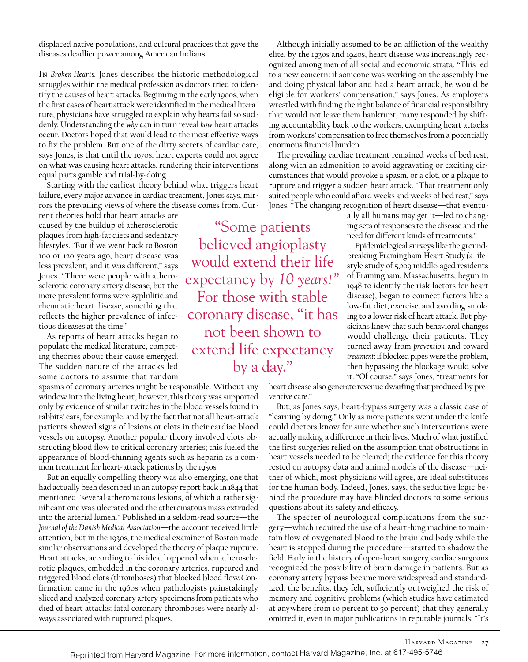displaced native populations, and cultural practices that gave the diseases deadlier power among American Indians.

In *Broken Hearts,* Jones describes the historic methodological struggles within the medical profession as doctors tried to identify the causes of heart attacks. Beginning in the early 1900s, when the first cases of heart attack were identified in the medical literature, physicians have struggled to explain why hearts fail so suddenly. Understanding the *why* can in turn reveal *how* heart attacks occur. Doctors hoped that would lead to the most effective ways to fix the problem. But one of the dirty secrets of cardiac care, says Jones, is that until the 1970s, heart experts could not agree on what was causing heart attacks, rendering their interventions equal parts gamble and trial-by-doing.

Starting with the earliest theory behind what triggers heart failure, every major advance in cardiac treatment, Jones says, mirrors the prevailing views of where the disease comes from. Cur-

rent theories hold that heart attacks are caused by the buildup of atherosclerotic plaques from high-fat diets and sedentary lifestyles. "But if we went back to Boston 100 or 120 years ago, heart disease was less prevalent, and it was different," says Jones. "There were people with atherosclerotic coronary artery disease, but the more prevalent forms were syphilitic and rheumatic heart disease, something that reflects the higher prevalence of infectious diseases at the time."

As reports of heart attacks began to populate the medical literature, competing theories about their cause emerged. The sudden nature of the attacks led some doctors to assume that random

spasms of coronary arteries might be responsible. Without any window into the living heart, however, this theory was supported only by evidence of similar twitches in the blood vessels found in rabbits' ears, for example, and by the fact that not all heart-attack patients showed signs of lesions or clots in their cardiac blood vessels on autopsy. Another popular theory involved clots obstructing blood flow to critical coronary arteries; this fueled the appearance of blood-thinning agents such as heparin as a common treatment for heart-attack patients by the 1950s.

But an equally compelling theory was also emerging, one that had actually been described in an autopsy report back in 1844 that mentioned "several atheromatous lesions, of which a rather significant one was ulcerated and the atheromatous mass extruded into the arterial lumen." Published in a seldom-read source—the *Journal of the Danish Medical Association—*the account received little attention, but in the 1930s, the medical examiner of Boston made similar observations and developed the theory of plaque rupture. Heart attacks, according to his idea, happened when atherosclerotic plaques, embedded in the coronary arteries, ruptured and triggered blood clots (thromboses) that blocked blood flow. Confirmation came in the 1960s when pathologists painstakingly sliced and analyzed coronary artery specimens from patients who died of heart attacks: fatal coronary thromboses were nearly always associated with ruptured plaques.

"Some patients believed angioplasty would extend their life expectancy by *10 years!"*  For those with stable coronary disease, "it has not been shown to extend life expectancy by a day."

Although initially assumed to be an affliction of the wealthy elite, by the 1930s and 1940s, heart disease was increasingly recognized among men of all social and economic strata. "This led to a new concern: if someone was working on the assembly line and doing physical labor and had a heart attack, he would be eligible for workers' compensation," says Jones. As employers wrestled with finding the right balance of financial responsibility that would not leave them bankrupt, many responded by shifting accountability back to the workers, exempting heart attacks from workers' compensation to free themselves from a potentially enormous financial burden.

The prevailing cardiac treatment remained weeks of bed rest, along with an admonition to avoid aggravating or exciting circumstances that would provoke a spasm, or a clot, or a plaque to rupture and trigger a sudden heart attack. "That treatment only suited people who could afford weeks and weeks of bed rest," says Jones. "The changing recognition of heart disease—that eventu-

ally all humans may get it—led to changing sets of responses to the disease and the need for different kinds of treatments."

Epidemiological surveys like the groundbreaking Framingham Heart Study (a lifestyle study of 5,209 middle-aged residents of Framingham, Massachusetts, begun in 1948 to identify the risk factors for heart disease), began to connect factors like a low-fat diet, exercise, and avoiding smoking to a lower risk of heart attack. But physicians knew that such behavioral changes would challenge their patients. They turned away from *prevention* and toward *treatment*: if blocked pipes were the problem, then bypassing the blockage would solve it. "Of course," says Jones, "treatments for

heart disease also generate revenue dwarfing that produced by preventive care."

But, as Jones says, heart-bypass surgery was a classic case of "learning by doing." Only as more patients went under the knife could doctors know for sure whether such interventions were actually making a difference in their lives. Much of what justified the first surgeries relied on the assumption that obstructions in heart vessels needed to be cleared; the evidence for this theory rested on autopsy data and animal models of the disease—neither of which, most physicians will agree, are ideal substitutes for the human body. Indeed, Jones, says, the seductive logic behind the procedure may have blinded doctors to some serious questions about its safety and efficacy.

The specter of neurological complications from the surgery—which required the use of a heart-lung machine to maintain flow of oxygenated blood to the brain and body while the heart is stopped during the procedure—started to shadow the field. Early in the history of open-heart surgery, cardiac surgeons recognized the possibility of brain damage in patients. But as coronary artery bypass became more widespread and standardized, the benefits, they felt, sufficiently outweighed the risk of memory and cognitive problems (which studies have estimated at anywhere from 10 percent to 50 percent) that they generally omitted it, even in major publications in reputable journals. "It's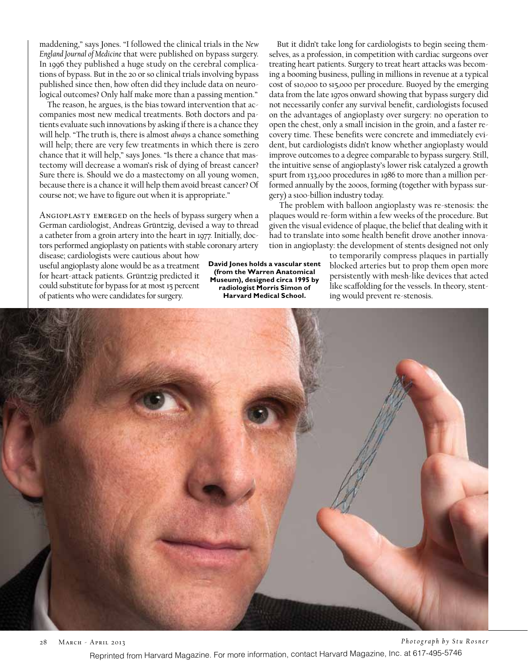maddening," says Jones. "I followed the clinical trials in the *New England Journal of Medicine* that were published on bypass surgery. In 1996 they published a huge study on the cerebral complications of bypass. But in the 20 or so clinical trials involving bypass published since then, how often did they include data on neurological outcomes? Only half make more than a passing mention."

The reason, he argues, is the bias toward intervention that accompanies most new medical treatments. Both doctors and patients evaluate such innovations by asking if there is a chance they will help. "The truth is, there is almost *always* a chance something will help; there are very few treatments in which there is zero chance that it will help," says Jones. "Is there a chance that mastectomy will decrease a woman's risk of dying of breast cancer? Sure there is. Should we do a mastectomy on all young women, because there is a chance it will help them avoid breast cancer? Of course not; we have to figure out when it is appropriate."

Angioplasty emerged on the heels of bypass surgery when a German cardiologist, Andreas Grüntzig, devised a way to thread a catheter from a groin artery into the heart in 1977. Initially, doctors performed angioplasty on patients with stable coronary artery

disease; cardiologists were cautious about how useful angioplasty alone would be as a treatment for heart-attack patients. Grüntzig predicted it could substitute for bypass for at most 15 percent of patients who were candidates for surgery.

**David Jones holds a vascular stent (from the Warren Anatomical Museum), designed circa 1995 by radiologist Morris Simon of Harvard Medical School.** 

But it didn't take long for cardiologists to begin seeing themselves, as a profession, in competition with cardiac surgeons over treating heart patients. Surgery to treat heart attacks was becoming a booming business, pulling in millions in revenue at a typical cost of \$10,000 to \$15,000 per procedure. Buoyed by the emerging data from the late 1970s onward showing that bypass surgery did not necessarily confer any survival benefit, cardiologists focused on the advantages of angioplasty over surgery: no operation to open the chest, only a small incision in the groin, and a faster recovery time. These benefits were concrete and immediately evident, but cardiologists didn't know whether angioplasty would improve outcomes to a degree comparable to bypass surgery. Still, the intuitive sense of angioplasty's lower risk catalyzed a growth spurt from 133,000 procedures in 1986 to more than a million performed annually by the 2000s, forming (together with bypass surgery) a \$100-billion industry today.

 The problem with balloon angioplasty was re-stenosis: the plaques would re-form within a few weeks of the procedure. But given the visual evidence of plaque, the belief that dealing with it had to translate into some health benefit drove another innovation in angioplasty: the development of stents designed not only

to temporarily compress plaques in partially blocked arteries but to prop them open more persistently with mesh-like devices that acted like scaffolding for the vessels. In theory, stenting would prevent re-stenosis.



28 March - April 2013 *Photograph by Stu Rosner* Reprinted from Harvard Magazine. For more information, contact Harvard Magazine, Inc. at 617-495-5746